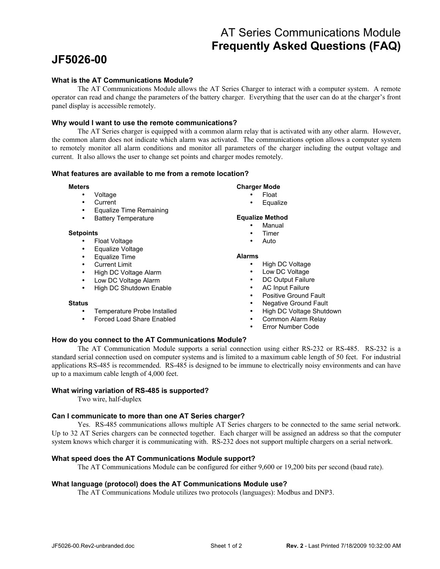# AT Series Communications Module **Frequently Asked Questions (FAQ)**

# **JF5026-00**

# **What is the AT Communications Module?**

The AT Communications Module allows the AT Series Charger to interact with a computer system. A remote operator can read and change the parameters of the battery charger. Everything that the user can do at the charger's front panel display is accessible remotely.

# **Why would I want to use the remote communications?**

The AT Series charger is equipped with a common alarm relay that is activated with any other alarm. However, the common alarm does not indicate which alarm was activated. The communications option allows a computer system to remotely monitor all alarm conditions and monitor all parameters of the charger including the output voltage and current. It also allows the user to change set points and charger modes remotely.

# **What features are available to me from a remote location?**

#### **Meters**

- Voltage
- **Current**
- Equalize Time Remaining
- Battery Temperature

#### **Setpoints**

- Float Voltage
- Equalize Voltage
- Equalize Time
- **Current Limit**
- High DC Voltage Alarm
- Low DC Voltage Alarm
- High DC Shutdown Enable

#### **Status**

- Temperature Probe Installed
- Forced Load Share Enabled

# **Charger Mode**

- Float
- **Equalize**

### **Equalize Method**

- **Manual**
- **Timer**
- Auto

#### **Alarms**

- High DC Voltage
- Low DC Voltage
- DC Output Failure
- AC Input Failure
- Positive Ground Fault
- Negative Ground Fault
- High DC Voltage Shutdown
- Common Alarm Relay
- Error Number Code

# **How do you connect to the AT Communications Module?**

The AT Communication Module supports a serial connection using either RS-232 or RS-485. RS-232 is a standard serial connection used on computer systems and is limited to a maximum cable length of 50 feet. For industrial applications RS-485 is recommended. RS-485 is designed to be immune to electrically noisy environments and can have up to a maximum cable length of 4,000 feet.

# **What wiring variation of RS-485 is supported?**

Two wire, half-duplex

# **Can I communicate to more than one AT Series charger?**

Yes. RS-485 communications allows multiple AT Series chargers to be connected to the same serial network. Up to 32 AT Series chargers can be connected together. Each charger will be assigned an address so that the computer system knows which charger it is communicating with. RS-232 does not support multiple chargers on a serial network.

# **What speed does the AT Communications Module support?**

The AT Communications Module can be configured for either 9,600 or 19,200 bits per second (baud rate).

# **What language (protocol) does the AT Communications Module use?**

The AT Communications Module utilizes two protocols (languages): Modbus and DNP3.